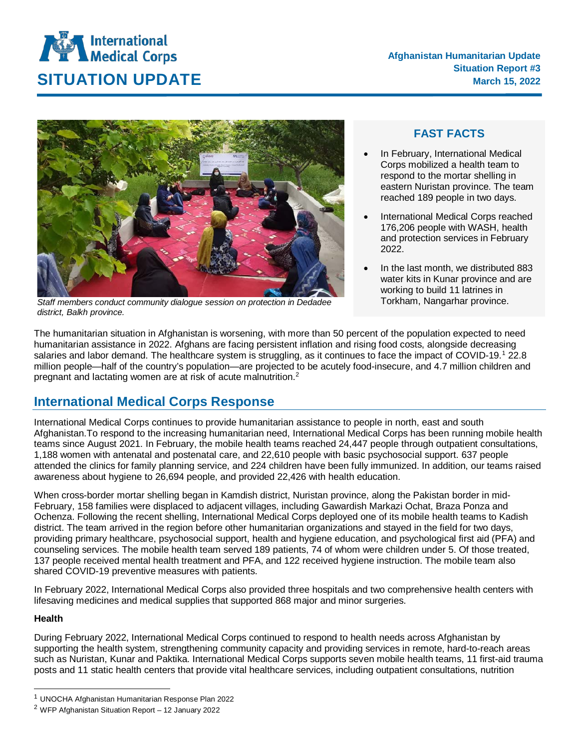# **International**<br>Medical Corps **SITUATION UPDATE** March 15, 2022



*Staff members conduct community dialogue session on protection in Dedadee district, Balkh province.* 

### **FAST FACTS**

- In February, International Medical Corps mobilized a health team to respond to the mortar shelling in eastern Nuristan province. The team reached 189 people in two days.
- International Medical Corps reached 176,206 people with WASH, health and protection services in February 2022.
- In the last month, we distributed 883 water kits in Kunar province and are working to build 11 latrines in Torkham, Nangarhar province.

The humanitarian situation in Afghanistan is worsening, with more than 50 percent of the population expected to need humanitarian assistance in 2022. Afghans are facing persistent inflation and rising food costs, alongside decreasing salaries and labor demand. The healthcare system is struggling, as it continues to face the impact of COVID-[1](#page-0-0)9.<sup>1</sup> 22.8 million people—half of the country's population—are projected to be acutely food-insecure, and 4.7 million children and pregnant and lactating women are at risk of acute malnutrition.<sup>[2](#page-0-1)</sup>

## **International Medical Corps Response**

International Medical Corps continues to provide humanitarian assistance to people in north, east and south Afghanistan.To respond to the increasing humanitarian need, International Medical Corps has been running mobile health teams since August 2021. In February, the mobile health teams reached 24,447 people through outpatient consultations, 1,188 women with antenatal and postenatal care, and 22,610 people with basic psychosocial support. 637 people attended the clinics for family planning service, and 224 children have been fully immunized. In addition, our teams raised awareness about hygiene to 26,694 people, and provided 22,426 with health education.

When cross-border mortar shelling began in Kamdish district, Nuristan province, along the Pakistan border in mid-February, 158 families were displaced to adjacent villages, including Gawardish Markazi Ochat, Braza Ponza and Ochenza. Following the recent shelling, International Medical Corps deployed one of its mobile health teams to Kadish district. The team arrived in the region before other humanitarian organizations and stayed in the field for two days, providing primary healthcare, psychosocial support, health and hygiene education, and psychological first aid (PFA) and counseling services. The mobile health team served 189 patients, 74 of whom were children under 5. Of those treated, 137 people received mental health treatment and PFA, and 122 received hygiene instruction. The mobile team also shared COVID-19 preventive measures with patients.

In February 2022, International Medical Corps also provided three hospitals and two comprehensive health centers with lifesaving medicines and medical supplies that supported 868 major and minor surgeries.

#### **Health**

During February 2022, International Medical Corps continued to respond to health needs across Afghanistan by supporting the health system, strengthening community capacity and providing services in remote, hard-to-reach areas such as Nuristan, Kunar and Paktika. International Medical Corps supports seven mobile health teams, 11 first-aid trauma posts and 11 static health centers that provide vital healthcare services, including outpatient consultations, nutrition

<span id="page-0-0"></span><sup>&</sup>lt;sup>1</sup> UNOCHA Afghanistan Humanitarian Response Plan 2022

<span id="page-0-1"></span> $2$  WFP Afghanistan Situation Report – 12 January 2022